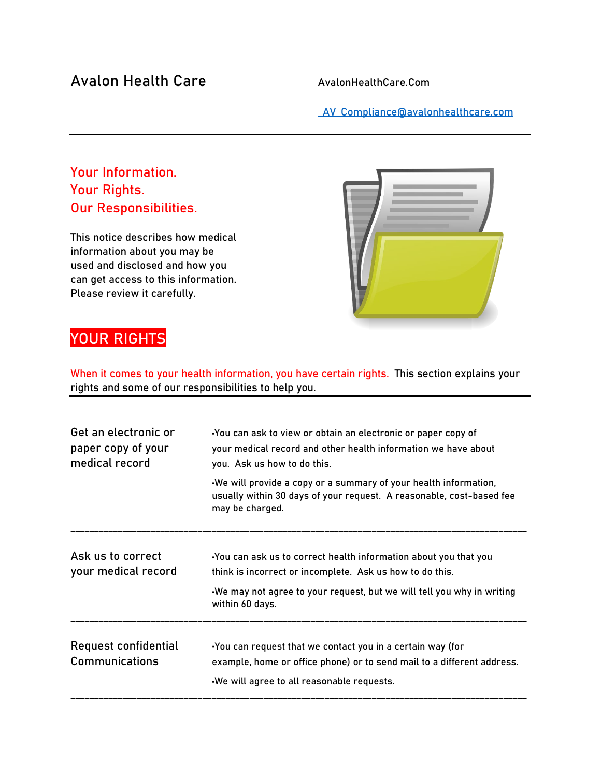## Avalon Health Care AvalonHealthCare.Com

[\\_AV\\_Compliance@avalonhealthcare.com](mailto:_AV_Compliance@avalonhealthcare.com)

### Your Information. Your Rights. Our Responsibilities.

This notice describes how medical information about you may be used and disclosed and how you can get access to this information. Please review it carefully.



# YOUR RIGHTS

When it comes to your health information, you have certain rights. This section explains your rights and some of our responsibilities to help you.

| Get an electronic or<br>paper copy of your<br>medical record | You can ask to view or obtain an electronic or paper copy of<br>your medical record and other health information we have about<br>you. Ask us how to do this.                                                           |  |  |
|--------------------------------------------------------------|-------------------------------------------------------------------------------------------------------------------------------------------------------------------------------------------------------------------------|--|--|
|                                                              | We will provide a copy or a summary of your health information,<br>usually within 30 days of your request. A reasonable, cost-based fee<br>may be charged.                                                              |  |  |
| Ask us to correct<br>your medical record                     | You can ask us to correct health information about you that you<br>think is incorrect or incomplete. Ask us how to do this.<br>We may not agree to your request, but we will tell you why in writing<br>within 60 days. |  |  |
| Request confidential<br><b>Communications</b>                | -You can request that we contact you in a certain way (for<br>example, home or office phone) or to send mail to a different address.<br>-We will agree to all reasonable requests.                                      |  |  |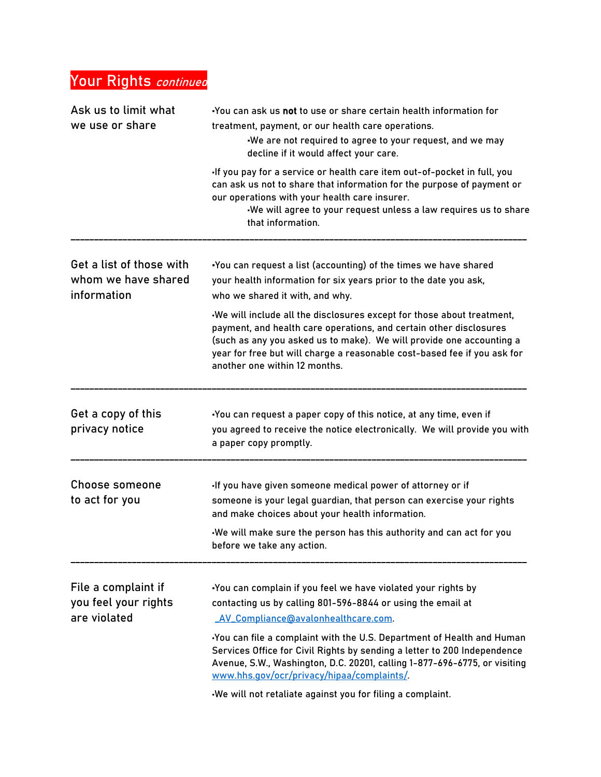# Your Rights *continued*

| Ask us to limit what<br>we use or share                        | You can ask us not to use or share certain health information for<br>treatment, payment, or our health care operations.<br>We are not required to agree to your request, and we may<br>decline if it would affect your care.                                                                                                     |  |
|----------------------------------------------------------------|----------------------------------------------------------------------------------------------------------------------------------------------------------------------------------------------------------------------------------------------------------------------------------------------------------------------------------|--|
|                                                                | -If you pay for a service or health care item out-of-pocket in full, you<br>can ask us not to share that information for the purpose of payment or<br>our operations with your health care insurer.<br>We will agree to your request unless a law requires us to share<br>that information.                                      |  |
| Get a list of those with<br>whom we have shared<br>information | -You can request a list (accounting) of the times we have shared<br>your health information for six years prior to the date you ask,<br>who we shared it with, and why.                                                                                                                                                          |  |
|                                                                | We will include all the disclosures except for those about treatment,<br>payment, and health care operations, and certain other disclosures<br>(such as any you asked us to make). We will provide one accounting a<br>year for free but will charge a reasonable cost-based fee if you ask for<br>another one within 12 months. |  |
| Get a copy of this<br>privacy notice                           | -You can request a paper copy of this notice, at any time, even if<br>you agreed to receive the notice electronically. We will provide you with<br>a paper copy promptly.                                                                                                                                                        |  |
| Choose someone<br>to act for you                               | -If you have given someone medical power of attorney or if<br>someone is your legal guardian, that person can exercise your rights<br>and make choices about your health information.<br>We will make sure the person has this authority and can act for you                                                                     |  |
|                                                                | before we take any action.                                                                                                                                                                                                                                                                                                       |  |
| File a complaint if<br>you feel your rights<br>are violated    | .You can complain if you feel we have violated your rights by<br>contacting us by calling 801-596-8844 or using the email at<br>_AV_Compliance@avalonhealthcare.com                                                                                                                                                              |  |
|                                                                | You can file a complaint with the U.S. Department of Health and Human<br>Services Office for Civil Rights by sending a letter to 200 Independence<br>Avenue, S.W., Washington, D.C. 20201, calling 1-877-696-6775, or visiting<br>www.hhs.gov/ocr/privacy/hipaa/complaints/                                                      |  |
|                                                                | We will not retaliate against you for filing a complaint.                                                                                                                                                                                                                                                                        |  |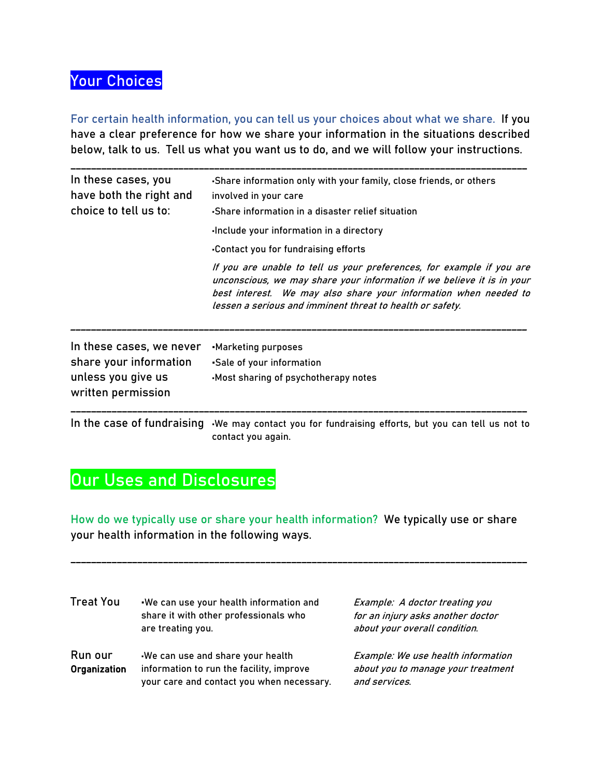## Your Choices

For certain health information, you can tell us your choices about what we share. If you have a clear preference for how we share your information in the situations described below, talk to us. Tell us what you want us to do, and we will follow your instructions.

| In these cases, you<br>have both the right and<br>choice to tell us to: | -Share information only with your family, close friends, or others<br>involved in your care<br>-Share information in a disaster relief situation                                                                                                                                 |  |
|-------------------------------------------------------------------------|----------------------------------------------------------------------------------------------------------------------------------------------------------------------------------------------------------------------------------------------------------------------------------|--|
|                                                                         | Include your information in a directory                                                                                                                                                                                                                                          |  |
|                                                                         | -Contact you for fundraising efforts                                                                                                                                                                                                                                             |  |
|                                                                         | If you are unable to tell us your preferences, for example if you are<br>unconscious, we may share your information if we believe it is in your<br>best interest. We may also share your information when needed to<br>lessen a serious and imminent threat to health or safety. |  |
| In these cases, we never<br>share your information                      | -Marketing purposes<br>.Sale of your information                                                                                                                                                                                                                                 |  |
| unless you give us<br>written permission                                | -Most sharing of psychotherapy notes                                                                                                                                                                                                                                             |  |
|                                                                         | In the case of fundraising We may contact you for fundraising efforts, but you can tell us not to<br>contact you again.                                                                                                                                                          |  |

# Our Uses and Disclosures

How do we typically use or share your health information? We typically use or share your health information in the following ways.

\_\_\_\_\_\_\_\_\_\_\_\_\_\_\_\_\_\_\_\_\_\_\_\_\_\_\_\_\_\_\_\_\_\_\_\_\_\_\_\_\_\_\_\_\_\_\_\_\_\_\_\_\_\_\_\_\_\_\_\_\_\_\_\_\_\_\_\_\_\_\_\_\_\_\_\_\_\_\_\_\_\_\_\_\_\_\_\_\_

| <b>Treat You</b>        | .We can use your health information and<br>share it with other professionals who<br>are treating you.                     | Example: A doctor treating you<br>for an injury asks another doctor<br>about your overall condition. |
|-------------------------|---------------------------------------------------------------------------------------------------------------------------|------------------------------------------------------------------------------------------------------|
| Run our<br>Organization | We can use and share your health<br>information to run the facility, improve<br>your care and contact you when necessary. | Example: We use health information<br>about you to manage your treatment<br>and services.            |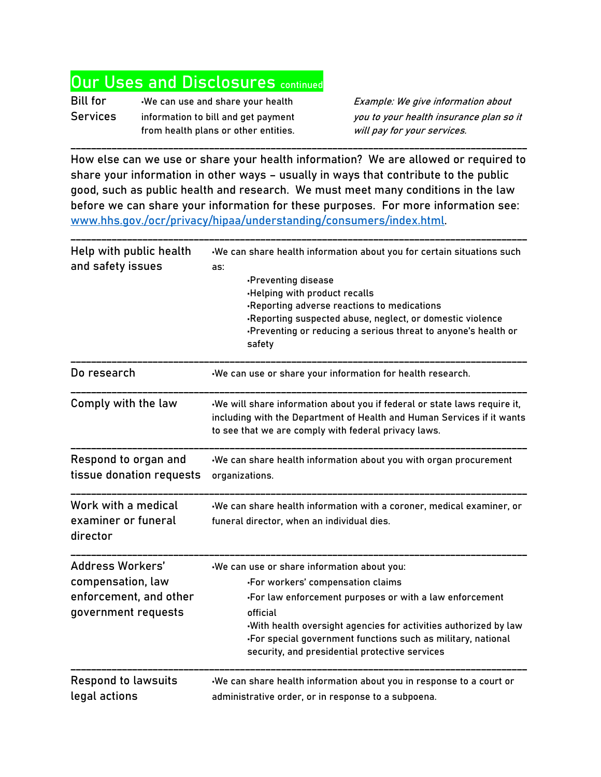## **Our Uses and Disclosures continued**

Bill for •We can use and share your health Example: We give information about Services information to bill and get payment you to your health insurance plan so it from health plans or other entities. will pay for your services.

How else can we use or share your health information? We are allowed or required to share your information in other ways – usually in ways that contribute to the public good, such as public health and research. We must meet many conditions in the law before we can share your information for these purposes. For more information see: [www.hhs.gov./ocr/privacy/hipaa/understanding/consumers/index.html.](http://www.hhs.gov./ocr/privacy/hipaa/understanding/consumers/index.html)

\_\_\_\_\_\_\_\_\_\_\_\_\_\_\_\_\_\_\_\_\_\_\_\_\_\_\_\_\_\_\_\_\_\_\_\_\_\_\_\_\_\_\_\_\_\_\_\_\_\_\_\_\_\_\_\_\_\_\_\_\_\_\_\_\_\_\_\_\_\_\_\_\_\_\_\_\_\_\_\_\_\_\_\_\_\_\_\_\_

| Help with public health<br>and safety issues                                           | -We can share health information about you for certain situations such<br>as:                                                                                                                                                                                                                                                                  |  |
|----------------------------------------------------------------------------------------|------------------------------------------------------------------------------------------------------------------------------------------------------------------------------------------------------------------------------------------------------------------------------------------------------------------------------------------------|--|
|                                                                                        | -Preventing disease<br>-Helping with product recalls<br>-Reporting adverse reactions to medications<br>-Reporting suspected abuse, neglect, or domestic violence<br>-Preventing or reducing a serious threat to anyone's health or<br>safety                                                                                                   |  |
| Do research                                                                            | -We can use or share your information for health research.                                                                                                                                                                                                                                                                                     |  |
| Comply with the law                                                                    | -We will share information about you if federal or state laws require it,<br>including with the Department of Health and Human Services if it wants<br>to see that we are comply with federal privacy laws.                                                                                                                                    |  |
| Respond to organ and<br>tissue donation requests                                       | We can share health information about you with organ procurement<br>organizations.                                                                                                                                                                                                                                                             |  |
| Work with a medical<br>examiner or funeral<br>director                                 | -We can share health information with a coroner, medical examiner, or<br>funeral director, when an individual dies.                                                                                                                                                                                                                            |  |
| Address Workers'<br>compensation, law<br>enforcement, and other<br>government requests | -We can use or share information about you:<br>-For workers' compensation claims<br>. For law enforcement purposes or with a law enforcement<br>official<br>-With health oversight agencies for activities authorized by law<br>-For special government functions such as military, national<br>security, and presidential protective services |  |
| <b>Respond to lawsuits</b><br>legal actions                                            | We can share health information about you in response to a court or<br>administrative order, or in response to a subpoena.                                                                                                                                                                                                                     |  |